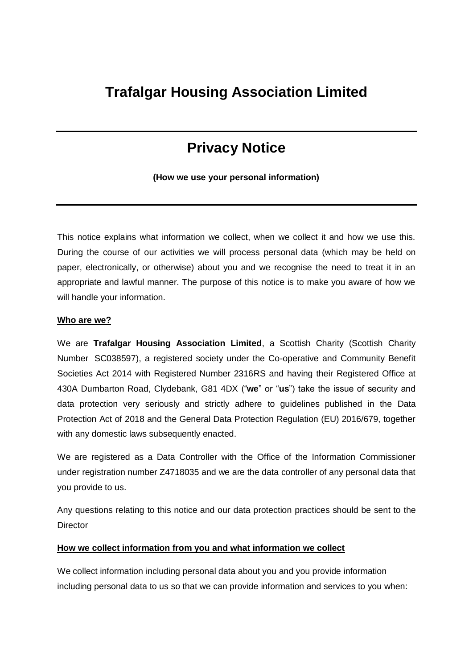## **Trafalgar Housing Association Limited**

# **Privacy Notice**

**(How we use your personal information)**

This notice explains what information we collect, when we collect it and how we use this. During the course of our activities we will process personal data (which may be held on paper, electronically, or otherwise) about you and we recognise the need to treat it in an appropriate and lawful manner. The purpose of this notice is to make you aware of how we will handle your information.

#### **Who are we?**

We are **Trafalgar Housing Association Limited**, a Scottish Charity (Scottish Charity Number SC038597), a registered society under the Co-operative and Community Benefit Societies Act 2014 with Registered Number 2316RS and having their Registered Office at 430A Dumbarton Road, Clydebank, G81 4DX ("**we**" or "**us**") take the issue of security and data protection very seriously and strictly adhere to guidelines published in the Data Protection Act of 2018 and the General Data Protection Regulation (EU) 2016/679, together with any domestic laws subsequently enacted.

We are registered as a Data Controller with the Office of the Information Commissioner under registration number Z4718035 and we are the data controller of any personal data that you provide to us.

Any questions relating to this notice and our data protection practices should be sent to the **Director** 

#### **How we collect information from you and what information we collect**

We collect information including personal data about you and you provide information including personal data to us so that we can provide information and services to you when: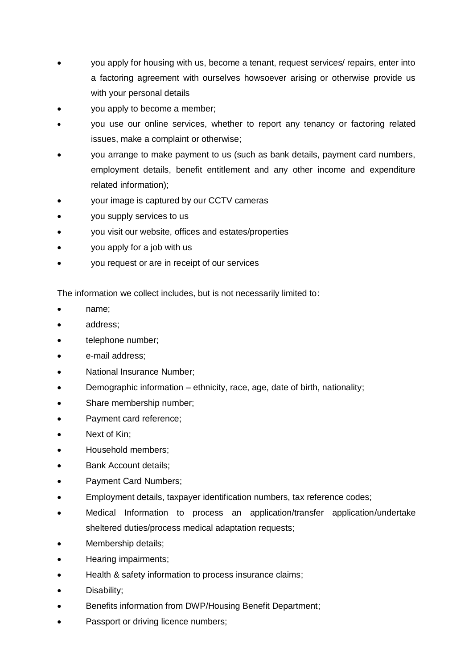- you apply for housing with us, become a tenant, request services/ repairs, enter into a factoring agreement with ourselves howsoever arising or otherwise provide us with your personal details
- you apply to become a member;
- you use our online services, whether to report any tenancy or factoring related issues, make a complaint or otherwise;
- you arrange to make payment to us (such as bank details, payment card numbers, employment details, benefit entitlement and any other income and expenditure related information);
- your image is captured by our CCTV cameras
- you supply services to us
- you visit our website, offices and estates/properties
- you apply for a job with us
- you request or are in receipt of our services

The information we collect includes, but is not necessarily limited to:

- name;
- address;
- telephone number;
- e-mail address;
- National Insurance Number;
- Demographic information ethnicity, race, age, date of birth, nationality;
- Share membership number;
- Payment card reference;
- Next of Kin;
- Household members:
- Bank Account details;
- Payment Card Numbers;
- Employment details, taxpayer identification numbers, tax reference codes;
- Medical Information to process an application/transfer application/undertake sheltered duties/process medical adaptation requests;
- Membership details;
- Hearing impairments;
- Health & safety information to process insurance claims;
- Disability;
- Benefits information from DWP/Housing Benefit Department;
- Passport or driving licence numbers;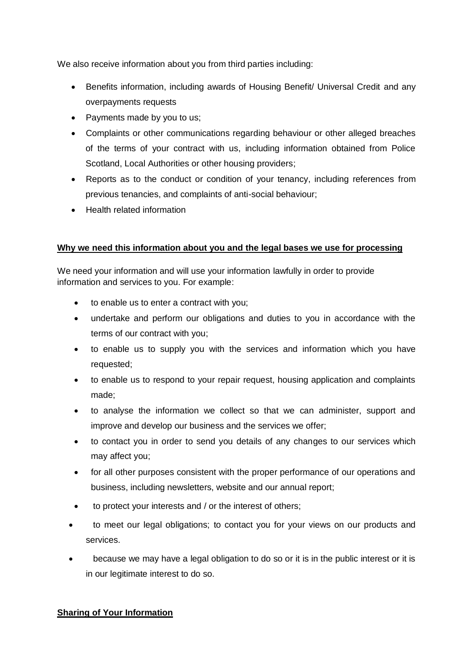We also receive information about you from third parties including:

- Benefits information, including awards of Housing Benefit/ Universal Credit and any overpayments requests
- Payments made by you to us;
- Complaints or other communications regarding behaviour or other alleged breaches of the terms of your contract with us, including information obtained from Police Scotland, Local Authorities or other housing providers;
- Reports as to the conduct or condition of your tenancy, including references from previous tenancies, and complaints of anti-social behaviour;
- Health related information

## **Why we need this information about you and the legal bases we use for processing**

We need your information and will use your information lawfully in order to provide information and services to you. For example:

- to enable us to enter a contract with you;
- undertake and perform our obligations and duties to you in accordance with the terms of our contract with you;
- to enable us to supply you with the services and information which you have requested;
- to enable us to respond to your repair request, housing application and complaints made;
- to analyse the information we collect so that we can administer, support and improve and develop our business and the services we offer;
- to contact you in order to send you details of any changes to our services which may affect you;
- for all other purposes consistent with the proper performance of our operations and business, including newsletters, website and our annual report;
- to protect your interests and / or the interest of others;
- to meet our legal obligations; to contact you for your views on our products and services.
- because we may have a legal obligation to do so or it is in the public interest or it is in our legitimate interest to do so.

## **Sharing of Your Information**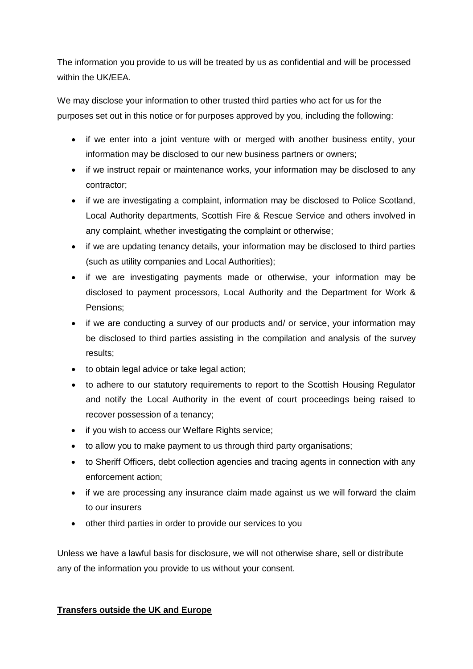The information you provide to us will be treated by us as confidential and will be processed within the UK/EEA.

We may disclose your information to other trusted third parties who act for us for the purposes set out in this notice or for purposes approved by you, including the following:

- if we enter into a joint venture with or merged with another business entity, your information may be disclosed to our new business partners or owners;
- if we instruct repair or maintenance works, your information may be disclosed to any contractor;
- if we are investigating a complaint, information may be disclosed to Police Scotland, Local Authority departments, Scottish Fire & Rescue Service and others involved in any complaint, whether investigating the complaint or otherwise;
- if we are updating tenancy details, your information may be disclosed to third parties (such as utility companies and Local Authorities);
- if we are investigating payments made or otherwise, your information may be disclosed to payment processors, Local Authority and the Department for Work & Pensions;
- if we are conducting a survey of our products and/ or service, your information may be disclosed to third parties assisting in the compilation and analysis of the survey results;
- to obtain legal advice or take legal action;
- to adhere to our statutory requirements to report to the Scottish Housing Regulator and notify the Local Authority in the event of court proceedings being raised to recover possession of a tenancy;
- if you wish to access our Welfare Rights service;
- to allow you to make payment to us through third party organisations;
- to Sheriff Officers, debt collection agencies and tracing agents in connection with any enforcement action;
- if we are processing any insurance claim made against us we will forward the claim to our insurers
- other third parties in order to provide our services to you

Unless we have a lawful basis for disclosure, we will not otherwise share, sell or distribute any of the information you provide to us without your consent.

## **Transfers outside the UK and Europe**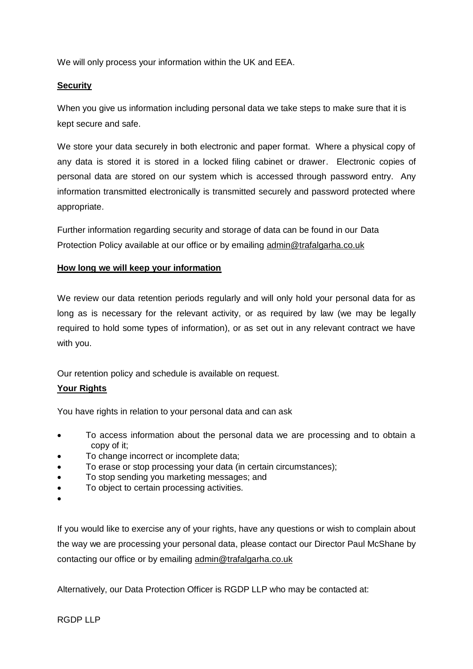We will only process your information within the UK and EEA.

#### **Security**

When you give us information including personal data we take steps to make sure that it is kept secure and safe.

We store your data securely in both electronic and paper format. Where a physical copy of any data is stored it is stored in a locked filing cabinet or drawer. Electronic copies of personal data are stored on our system which is accessed through password entry. Any information transmitted electronically is transmitted securely and password protected where appropriate.

Further information regarding security and storage of data can be found in our Data Protection Policy available at our office or by emailing admin@trafalgarha.co.uk

### **How long we will keep your information**

We review our data retention periods regularly and will only hold your personal data for as long as is necessary for the relevant activity, or as required by law (we may be legally required to hold some types of information), or as set out in any relevant contract we have with you.

Our retention policy and schedule is available on request.

## **Your Rights**

You have rights in relation to your personal data and can ask

- To access information about the personal data we are processing and to obtain a copy of it;
- To change incorrect or incomplete data;
- To erase or stop processing your data (in certain circumstances);
- To stop sending you marketing messages; and
- To object to certain processing activities.
- $\bullet$

If you would like to exercise any of your rights, have any questions or wish to complain about the way we are processing your personal data, please contact our Director Paul McShane by contacting our office or by emailing admin@trafalgarha.co.uk

Alternatively, our Data Protection Officer is RGDP LLP who may be contacted at: